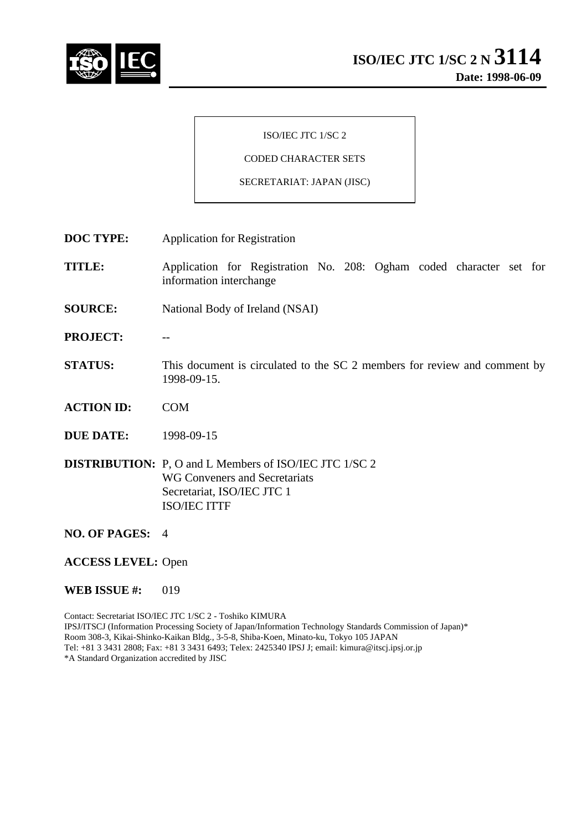

#### ISO/IEC JTC 1/SC 2

# CODED CHARACTER SETS

#### SECRETARIAT: JAPAN (JISC)

- **DOC TYPE:** Application for Registration
- **TITLE:** Application for Registration No. 208: Ogham coded character set for information interchange
- **SOURCE:** National Body of Ireland (NSAI)
- **PROJECT:** --
- **STATUS:** This document is circulated to the SC 2 members for review and comment by 1998-09-15.
- **ACTION ID:** COM
- **DUE DATE:** 1998-09-15

**DISTRIBUTION:** P, O and L Members of ISO/IEC JTC 1/SC 2 WG Conveners and Secretariats Secretariat, ISO/IEC JTC 1 ISO/IEC ITTF

- **NO. OF PAGES:** 4
- **ACCESS LEVEL:** Open
- **WEB ISSUE #: 019**

Contact: Secretariat ISO/IEC JTC 1/SC 2 - Toshiko KIMURA IPSJ/ITSCJ (Information Processing Society of Japan/Information Technology Standards Commission of Japan)\* Room 308-3, Kikai-Shinko-Kaikan Bldg., 3-5-8, Shiba-Koen, Minato-ku, Tokyo 105 JAPAN Tel: +81 3 3431 2808; Fax: +81 3 3431 6493; Telex: 2425340 IPSJ J; email: kimura@itscj.ipsj.or.jp \*A Standard Organization accredited by JISC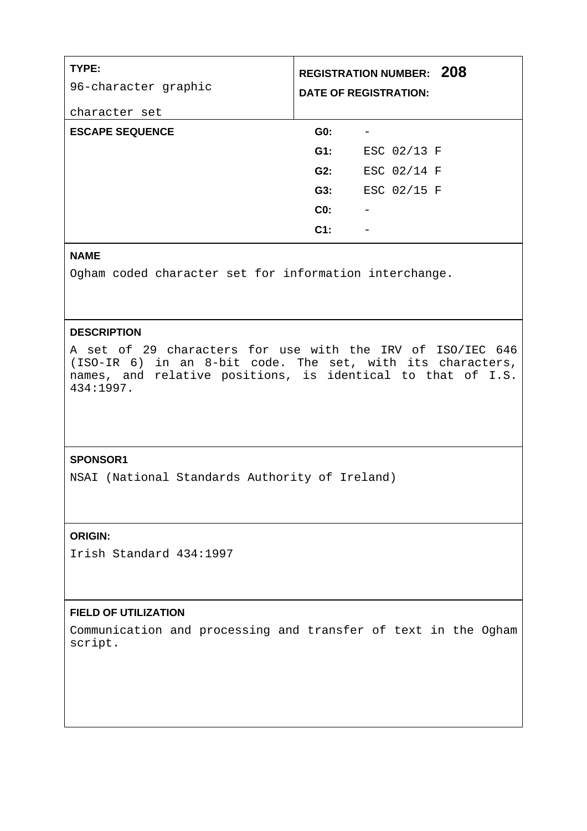| TYPE:<br>96-character graphic<br>character set |                 | <b>REGISTRATION NUMBER: 208</b><br><b>DATE OF REGISTRATION:</b> |
|------------------------------------------------|-----------------|-----------------------------------------------------------------|
| <b>ESCAPE SEQUENCE</b>                         | GO:             |                                                                 |
|                                                | $G1$ :          | ESC 02/13 F                                                     |
|                                                | G2:             | ESC 02/14 F                                                     |
|                                                | G3:             | ESC 02/15 F                                                     |
|                                                | CO <sub>2</sub> |                                                                 |
|                                                | $C1$ :          |                                                                 |

## **NAME**

Ogham coded character set for information interchange.

## **DESCRIPTION**

A set of 29 characters for use with the IRV of ISO/IEC 646 (ISO-IR 6) in an 8-bit code. The set, with its characters, names, and relative positions, is identical to that of I.S. 434:1997.

## **SPONSOR1**

NSAI (National Standards Authority of Ireland)

## **ORIGIN:**

Irish Standard 434:1997

#### **FIELD OF UTILIZATION**

Communication and processing and transfer of text in the Ogham script.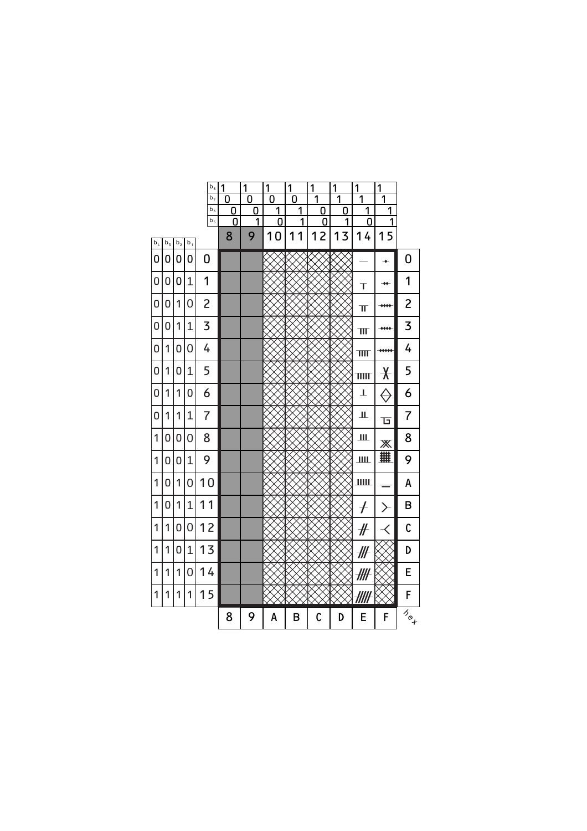|                |                         |                |       | $\mathsf{b}_\mathsf{8}$<br>b <sub>7</sub> | 1<br>0 | 1<br>0 | 1<br>0 | 1<br>0 | 1<br>1 | 1<br>1 | 1<br>1                  | 1<br>1                   |                    |
|----------------|-------------------------|----------------|-------|-------------------------------------------|--------|--------|--------|--------|--------|--------|-------------------------|--------------------------|--------------------|
|                |                         |                |       | $b_6$                                     | 0      | 0      | 1      | 1      | 0      | 0      | 1                       | 1                        |                    |
|                |                         |                |       | $b_5$                                     | 0      | 1      | 0      | 1      | 0      | 1      | 0                       | 1                        |                    |
| $\mathsf{b}_4$ | $\mathsf{b}_\mathsf{3}$ | b <sub>2</sub> | $b_1$ |                                           | 8      | 9      | 10     | 1<br>1 | 12     | 13     | 14                      | 15                       |                    |
| 0              | 0                       | 0              | 0     | 0                                         |        |        |        |        |        |        |                         | $\rightarrow$            | 0                  |
| 0              | 0                       | 0              | 1     | 1                                         |        |        |        |        |        |        | T                       | $\rightarrow \leftarrow$ | 1                  |
| 0              | 0                       | 1              | 0     | $\overline{c}$                            |        |        |        |        |        |        | ΤΓ                      | ****                     | 2                  |
| 0              | 0                       | 1              | 1     | 3                                         |        |        |        |        |        |        | $\mathbb{H}$            | ****                     | 3                  |
| 0              | 1                       | 0              | 0     | 4                                         |        |        |        |        |        |        | $\overline{\mathbf{H}}$ | $***$                    | 4                  |
| 0              | 1                       | 0              | 1     | 5                                         |        |        |        |        |        |        | TITIT                   | $\bigstar$               | 5                  |
| 0              | 1                       | 1              | 0     | 6                                         |        |        |        |        |        |        | T                       | ⊖                        | 6                  |
| 0              | 1                       | 1              | 1     | $\overline{7}$                            |        |        |        |        |        |        | Щ                       | ъ                        | 7                  |
| 1              | 0                       | 0              | 0     | 8                                         |        |        |        |        |        |        | Ш                       | Ж                        | 8                  |
| 1              | 0                       | 0              | 1     | 9                                         |        |        |        |        |        |        | ШЦ                      | 用                        | 9                  |
| 1              | 0                       | 1              | 0     | 10                                        |        |        |        |        |        |        | IIIII                   |                          | A                  |
| 1              | 0                       | 1              | 1     | 11                                        |        |        |        |        |        |        | $\overline{t}$          | ≻                        | B                  |
| 1              | 1                       | 0              | 0     | 12                                        |        |        |        |        |        |        | #                       | $\langle$                | C                  |
| 1              | 1                       | 0              | 1     | 13                                        |        |        |        |        |        |        | ₩                       |                          | D                  |
| 1              | 1                       | 1              | 0     | 14                                        |        |        |        |        |        |        | ╫╫                      |                          | E                  |
| 1              | 1                       | 1              | 1     | 15                                        |        |        |        |        |        |        |                         |                          | F                  |
|                |                         |                |       |                                           | 8      | 9      | A      | B      | C      | D      | E                       | F                        | $\bar{a}_{\alpha}$ |